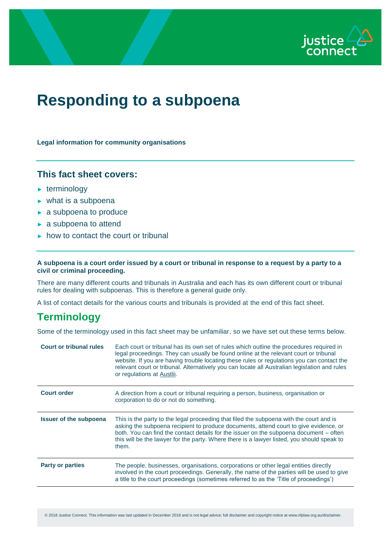

# **Responding to a subpoena**

**Legal information for community organisations**

#### **This fact sheet covers:**

- $\blacktriangleright$  terminology
- ► what is a subpoena
- ► a subpoena to produce
- ► a subpoena to attend
- ► how to contact the court or tribunal

#### **A subpoena is a court order issued by a court or tribunal in response to a request by a party to a civil or criminal proceeding.**

There are many different courts and tribunals in Australia and each has its own different court or tribunal rules for dealing with subpoenas. This is therefore a general guide only.

A list of contact details for the various courts and tribunals is provided at the end of this fact sheet.

# **Terminology**

Some of the terminology used in this fact sheet may be unfamiliar, so we have set out these terms below.

| <b>Court order</b><br>A direction from a court or tribunal requiring a person, business, organisation or<br>corporation to do or not do something.                                                                                                                                                                                                                                                                 | legal proceedings. They can usually be found online at the relevant court or tribunal<br>website. If you are having trouble locating these rules or regulations you can contact the<br>relevant court or tribunal. Alternatively you can locate all Australian legislation and rules |
|--------------------------------------------------------------------------------------------------------------------------------------------------------------------------------------------------------------------------------------------------------------------------------------------------------------------------------------------------------------------------------------------------------------------|--------------------------------------------------------------------------------------------------------------------------------------------------------------------------------------------------------------------------------------------------------------------------------------|
|                                                                                                                                                                                                                                                                                                                                                                                                                    |                                                                                                                                                                                                                                                                                      |
| <b>Issuer of the subpoena</b><br>This is the party to the legal proceeding that filed the subpoena with the court and is<br>asking the subpoena recipient to produce documents, attend court to give evidence, or<br>both. You can find the contact details for the issuer on the subpoena document – often<br>this will be the lawyer for the party. Where there is a lawyer listed, you should speak to<br>them. |                                                                                                                                                                                                                                                                                      |
| The people, businesses, organisations, corporations or other legal entities directly<br><b>Party or parties</b><br>involved in the court proceedings. Generally, the name of the parties will be used to give<br>a title to the court proceedings (sometimes referred to as the 'Title of proceedings')                                                                                                            |                                                                                                                                                                                                                                                                                      |

© 2018 Justice Connect. This information was last updated in December 2018 and is not legal advice; full disclaimer and copyright notice at www.nfplaw.org.au/disclaimer.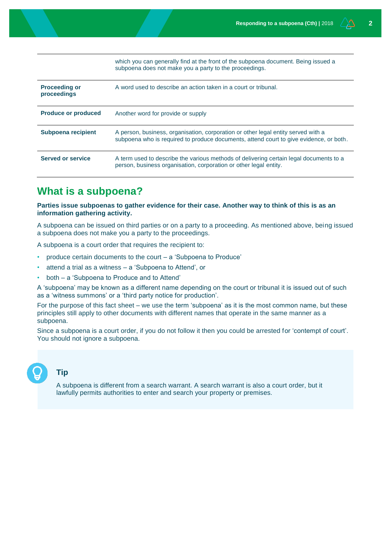|                                     | WHICH YOU CAN GENERALLY INTO AT the HOND OF the Suppoenta Gocument. Deling issued a<br>subpoena does not make you a party to the proceedings.                               |
|-------------------------------------|-----------------------------------------------------------------------------------------------------------------------------------------------------------------------------|
| <b>Proceeding or</b><br>proceedings | A word used to describe an action taken in a court or tribunal.                                                                                                             |
| <b>Produce or produced</b>          | Another word for provide or supply                                                                                                                                          |
| Subpoena recipient                  | A person, business, organisation, corporation or other legal entity served with a<br>subpoena who is required to produce documents, attend court to give evidence, or both. |
| <b>Served or service</b>            | A term used to describe the various methods of delivering certain legal documents to a<br>person, business organisation, corporation or other legal entity.                 |

which you can generally find at the front of the subpoena document. Being issued a

# **What is a subpoena?**

**Parties issue subpoenas to gather evidence for their case. Another way to think of this is as an information gathering activity.** 

A subpoena can be issued on third parties or on a party to a proceeding. As mentioned above, being issued a subpoena does not make you a party to the proceedings.

A subpoena is a court order that requires the recipient to:

- produce certain documents to the court a 'Subpoena to Produce'
- attend a trial as a witness a 'Subpoena to Attend', or
- both a 'Subpoena to Produce and to Attend'

A 'subpoena' may be known as a different name depending on the court or tribunal it is issued out of such as a 'witness summons' or a 'third party notice for production'.

For the purpose of this fact sheet – we use the term 'subpoena' as it is the most common name, but these principles still apply to other documents with different names that operate in the same manner as a subpoena.

Since a subpoena is a court order, if you do not follow it then you could be arrested for 'contempt of court'. You should not ignore a subpoena.

**Tip**

A subpoena is different from a search warrant. A search warrant is also a court order, but it lawfully permits authorities to enter and search your property or premises.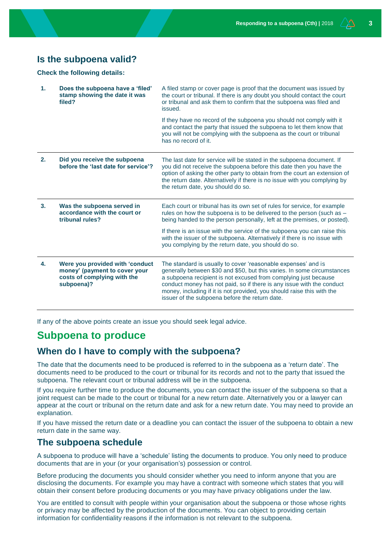#### **Is the subpoena valid?**

**Check the following details:**

| $\mathbf{1}$ . | Does the subpoena have a 'filed'<br>stamp showing the date it was<br>filed?   | A filed stamp or cover page is proof that the document was issued by<br>the court or tribunal. If there is any doubt you should contact the court<br>or tribunal and ask them to confirm that the subpoena was filed and<br>issued.                                                                                                          |
|----------------|-------------------------------------------------------------------------------|----------------------------------------------------------------------------------------------------------------------------------------------------------------------------------------------------------------------------------------------------------------------------------------------------------------------------------------------|
|                |                                                                               | If they have no record of the subpoena you should not comply with it<br>and contact the party that issued the subpoena to let them know that<br>you will not be complying with the subpoena as the court or tribunal<br>has no record of it.                                                                                                 |
| 2.             | Did you receive the subpoena<br>before the 'last date for service'?           | The last date for service will be stated in the subpoena document. If<br>you did not receive the subpoena before this date then you have the<br>option of asking the other party to obtain from the court an extension of<br>the return date. Alternatively if there is no issue with you complying by<br>the return date, you should do so. |
| 3.             |                                                                               |                                                                                                                                                                                                                                                                                                                                              |
|                | Was the subpoena served in<br>accordance with the court or<br>tribunal rules? | Each court or tribunal has its own set of rules for service, for example<br>rules on how the subpoena is to be delivered to the person (such as -<br>being handed to the person personally, left at the premises, or posted).                                                                                                                |
|                |                                                                               | If there is an issue with the service of the subpoena you can raise this<br>with the issuer of the subpoena. Alternatively if there is no issue with<br>you complying by the return date, you should do so.                                                                                                                                  |

If any of the above points create an issue you should seek legal advice.

## **Subpoena to produce**

#### **When do I have to comply with the subpoena?**

The date that the documents need to be produced is referred to in the subpoena as a 'return date'. The documents need to be produced to the court or tribunal for its records and not to the party that issued the subpoena. The relevant court or tribunal address will be in the subpoena.

If you require further time to produce the documents, you can contact the issuer of the subpoena so that a joint request can be made to the court or tribunal for a new return date. Alternatively you or a lawyer can appear at the court or tribunal on the return date and ask for a new return date. You may need to provide an explanation.

If you have missed the return date or a deadline you can contact the issuer of the subpoena to obtain a new return date in the same way.

#### **The subpoena schedule**

A subpoena to produce will have a 'schedule' listing the documents to produce. You only need to produce documents that are in your (or your organisation's) possession or control.

Before producing the documents you should consider whether you need to inform anyone that you are disclosing the documents. For example you may have a contract with someone which states that you will obtain their consent before producing documents or you may have privacy obligations under the law.

You are entitled to consult with people within your organisation about the subpoena or those whose rights or privacy may be affected by the production of the documents. You can object to providing certain information for confidentiality reasons if the information is not relevant to the subpoena.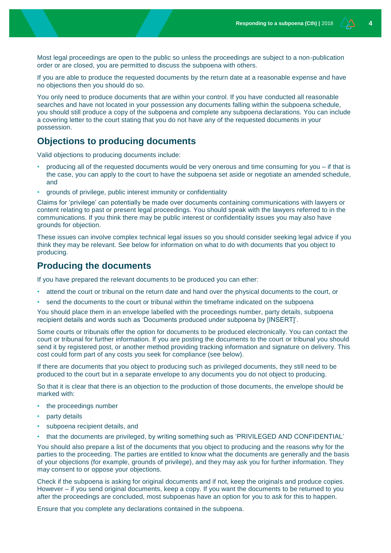Most legal proceedings are open to the public so unless the proceedings are subject to a non-publication order or are closed, you are permitted to discuss the subpoena with others.

If you are able to produce the requested documents by the return date at a reasonable expense and have no objections then you should do so.

You only need to produce documents that are within your control. If you have conducted all reasonable searches and have not located in your possession any documents falling within the subpoena schedule, you should still produce a copy of the subpoena and complete any subpoena declarations. You can include a covering letter to the court stating that you do not have any of the requested documents in your possession.

#### **Objections to producing documents**

Valid objections to producing documents include:

- producing all of the requested documents would be very onerous and time consuming for you if that is the case, you can apply to the court to have the subpoena set aside or negotiate an amended schedule, and
- grounds of privilege, public interest immunity or confidentiality

Claims for 'privilege' can potentially be made over documents containing communications with lawyers or content relating to past or present legal proceedings. You should speak with the lawyers referred to in the communications. If you think there may be public interest or confidentiality issues you may also have grounds for objection.

These issues can involve complex technical legal issues so you should consider seeking legal advice if you think they may be relevant. See below for information on what to do with documents that you object to producing.

#### **Producing the documents**

If you have prepared the relevant documents to be produced you can ether:

- attend the court or tribunal on the return date and hand over the physical documents to the court, or
- send the documents to the court or tribunal within the timeframe indicated on the subpoena

You should place them in an envelope labelled with the proceedings number, party details, subpoena recipient details and words such as 'Documents produced under subpoena by [INSERT]'.

Some courts or tribunals offer the option for documents to be produced electronically. You can contact the court or tribunal for further information. If you are posting the documents to the court or tribunal you should send it by registered post, or another method providing tracking information and signature on delivery. This cost could form part of any costs you seek for compliance (see below).

If there are documents that you object to producing such as privileged documents, they still need to be produced to the court but in a separate envelope to any documents you do not object to producing.

So that it is clear that there is an objection to the production of those documents, the envelope should be marked with:

- the proceedings number
- party details
- subpoena recipient details, and

• that the documents are privileged, by writing something such as 'PRIVILEGED AND CONFIDENTIAL'

You should also prepare a list of the documents that you object to producing and the reasons why for the parties to the proceeding. The parties are entitled to know what the documents are generally and the basis of your objections (for example, grounds of privilege), and they may ask you for further information. They may consent to or oppose your objections.

Check if the subpoena is asking for original documents and if not, keep the originals and produce copies. However – if you send original documents, keep a copy. If you want the documents to be returned to you after the proceedings are concluded, most subpoenas have an option for you to ask for this to happen.

Ensure that you complete any declarations contained in the subpoena.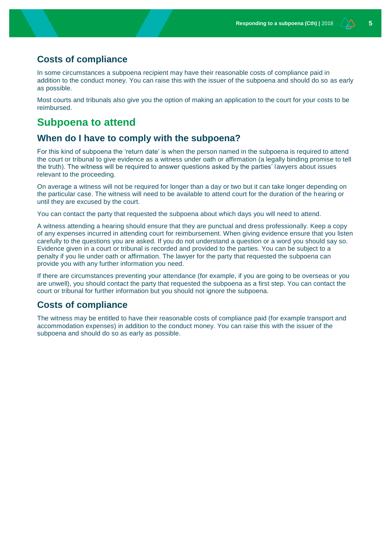#### **Costs of compliance**

In some circumstances a subpoena recipient may have their reasonable costs of compliance paid in addition to the conduct money. You can raise this with the issuer of the subpoena and should do so as early as possible.

Most courts and tribunals also give you the option of making an application to the court for your costs to be reimbursed.

## **Subpoena to attend**

#### **When do I have to comply with the subpoena?**

For this kind of subpoena the 'return date' is when the person named in the subpoena is required to attend the court or tribunal to give evidence as a witness under oath or affirmation (a legally binding promise to tell the truth). The witness will be required to answer questions asked by the parties' lawyers about issues relevant to the proceeding.

On average a witness will not be required for longer than a day or two but it can take longer depending on the particular case. The witness will need to be available to attend court for the duration of the hearing or until they are excused by the court.

You can contact the party that requested the subpoena about which days you will need to attend.

A witness attending a hearing should ensure that they are punctual and dress professionally. Keep a copy of any expenses incurred in attending court for reimbursement. When giving evidence ensure that you listen carefully to the questions you are asked. If you do not understand a question or a word you should say so. Evidence given in a court or tribunal is recorded and provided to the parties. You can be subject to a penalty if you lie under oath or affirmation. The lawyer for the party that requested the subpoena can provide you with any further information you need.

If there are circumstances preventing your attendance (for example, if you are going to be overseas or you are unwell), you should contact the party that requested the subpoena as a first step. You can contact the court or tribunal for further information but you should not ignore the subpoena.

#### **Costs of compliance**

The witness may be entitled to have their reasonable costs of compliance paid (for example transport and accommodation expenses) in addition to the conduct money. You can raise this with the issuer of the subpoena and should do so as early as possible.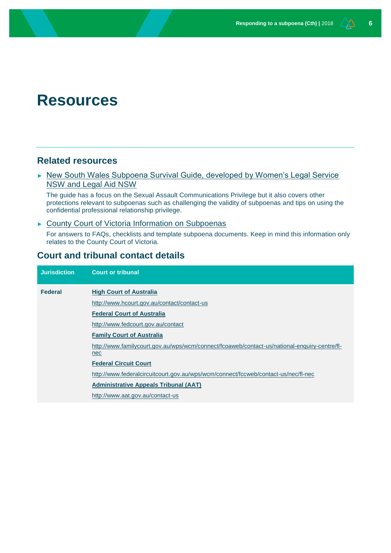# **Resources**

#### **Related resources**

► New South Wales Subpoena Survival Guide, developed by Women's Legal Service [NSW and Legal Aid NSW](https://www.legalaid.nsw.gov.au/publications/factsheets-and-resources/subpoena-survival-guide)

The guide has a focus on the Sexual Assault Communications Privilege but it also covers other protections relevant to subpoenas such as challenging the validity of subpoenas and tips on using the confidential professional relationship privilege.

► [County Court of Victoria Information on Subpoenas](https://www.countycourt.vic.gov.au/going-court/subpoenas)

For answers to FAQs, checklists and template subpoena documents. Keep in mind this information only relates to the County Court of Victoria.

### **Court and tribunal contact details**

| <b>Jurisdiction</b> | <b>Court or tribunal</b>                                                                            |
|---------------------|-----------------------------------------------------------------------------------------------------|
| <b>Federal</b>      | <b>High Court of Australia</b>                                                                      |
|                     | http://www.hcourt.gov.au/contact/contact-us                                                         |
|                     | <b>Federal Court of Australia</b>                                                                   |
|                     | http://www.fedcourt.gov.au/contact                                                                  |
|                     | <b>Family Court of Australia</b>                                                                    |
|                     | http://www.familycourt.gov.au/wps/wcm/connect/fcoaweb/contact-us/national-enguiry-centre/fl-<br>nec |
|                     | <b>Federal Circuit Court</b>                                                                        |
|                     | http://www.federalcircuitcourt.gov.au/wps/wcm/connect/fccweb/contact-us/nec/fl-nec                  |
|                     | <b>Administrative Appeals Tribunal (AAT)</b>                                                        |
|                     | http://www.aat.gov.au/contact-us                                                                    |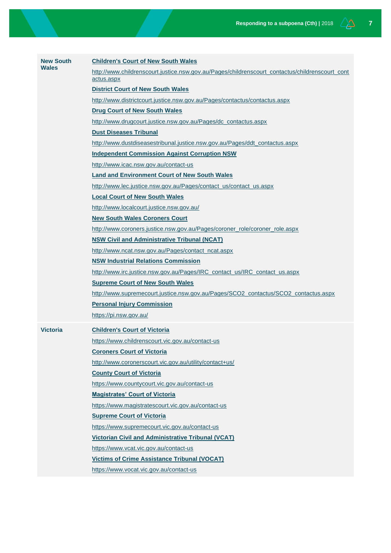| <b>New South</b> | <b>Children's Court of New South Wales</b>                                                                    |
|------------------|---------------------------------------------------------------------------------------------------------------|
| <b>Wales</b>     | http://www.childrenscourt.justice.nsw.gov.au/Pages/childrenscourt_contactus/childrenscourt_cont<br>actus.aspx |
|                  | <b>District Court of New South Wales</b>                                                                      |
|                  | http://www.districtcourt.justice.nsw.gov.au/Pages/contactus/contactus.aspx                                    |
|                  | <b>Drug Court of New South Wales</b>                                                                          |
|                  | http://www.drugcourt.justice.nsw.gov.au/Pages/dc_contactus.aspx                                               |
|                  | <b>Dust Diseases Tribunal</b>                                                                                 |
|                  | http://www.dustdiseasestribunal.justice.nsw.gov.au/Pages/ddt_contactus.aspx                                   |
|                  | <b>Independent Commission Against Corruption NSW</b>                                                          |
|                  | http://www.icac.nsw.gov.au/contact-us                                                                         |
|                  | <b>Land and Environment Court of New South Wales</b>                                                          |
|                  | http://www.lec.justice.nsw.gov.au/Pages/contact_us/contact_us.aspx                                            |
|                  | <b>Local Court of New South Wales</b>                                                                         |
|                  | http://www.localcourt.justice.nsw.gov.au/                                                                     |
|                  | <b>New South Wales Coroners Court</b>                                                                         |
|                  | http://www.coroners.justice.nsw.gov.au/Pages/coroner_role/coroner_role.aspx                                   |
|                  | <b>NSW Civil and Administrative Tribunal (NCAT)</b>                                                           |
|                  | http://www.ncat.nsw.gov.au/Pages/contact_ncat.aspx                                                            |
|                  | <b>NSW Industrial Relations Commission</b>                                                                    |
|                  | http://www.irc.justice.nsw.gov.au/Pages/IRC_contact_us/IRC_contact_us.aspx                                    |
|                  | <b>Supreme Court of New South Wales</b>                                                                       |
|                  | http://www.supremecourt.justice.nsw.gov.au/Pages/SCO2_contactus/SCO2_contactus.aspx                           |
|                  | <b>Personal Injury Commission</b>                                                                             |
|                  | https://pi.nsw.gov.au/                                                                                        |
| <b>Victoria</b>  | <b>Children's Court of Victoria</b>                                                                           |
|                  | https://www.childrenscourt.vic.gov.au/contact-us                                                              |
|                  | <b>Coroners Court of Victoria</b>                                                                             |
|                  | http://www.coronerscourt.vic.gov.au/utility/contact+us/                                                       |
|                  | <b>County Court of Victoria</b>                                                                               |
|                  | https://www.countycourt.vic.gov.au/contact-us                                                                 |
|                  | <b>Magistrates' Court of Victoria</b>                                                                         |
|                  | https://www.magistratescourt.vic.gov.au/contact-us                                                            |
|                  | <b>Supreme Court of Victoria</b>                                                                              |
|                  | https://www.supremecourt.vic.gov.au/contact-us                                                                |
|                  | <b>Victorian Civil and Administrative Tribunal (VCAT)</b>                                                     |
|                  | https://www.vcat.vic.gov.au/contact-us                                                                        |
|                  | <b>Victims of Crime Assistance Tribunal (VOCAT)</b>                                                           |
|                  | https://www.vocat.vic.gov.au/contact-us                                                                       |
|                  |                                                                                                               |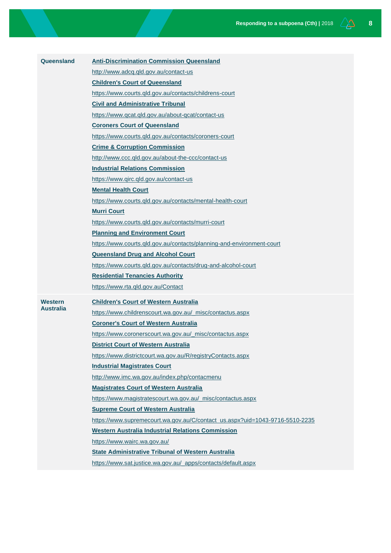| Queensland           | <b>Anti-Discrimination Commission Queensland</b>                             |
|----------------------|------------------------------------------------------------------------------|
|                      | http://www.adcq.qld.gov.au/contact-us                                        |
|                      | <b>Children's Court of Queensland</b>                                        |
|                      | https://www.courts.qld.gov.au/contacts/childrens-court                       |
|                      | <b>Civil and Administrative Tribunal</b>                                     |
|                      | https://www.gcat.gld.gov.au/about-gcat/contact-us                            |
|                      | <b>Coroners Court of Queensland</b>                                          |
|                      | https://www.courts.qld.gov.au/contacts/coroners-court                        |
|                      | <b>Crime &amp; Corruption Commission</b>                                     |
|                      | http://www.ccc.qld.gov.au/about-the-ccc/contact-us                           |
|                      | <b>Industrial Relations Commission</b>                                       |
|                      | https://www.girc.gld.gov.au/contact-us                                       |
|                      | <b>Mental Health Court</b>                                                   |
|                      | https://www.courts.gld.gov.au/contacts/mental-health-court                   |
|                      | <b>Murri Court</b>                                                           |
|                      | https://www.courts.qld.gov.au/contacts/murri-court                           |
|                      | <b>Planning and Environment Court</b>                                        |
|                      | https://www.courts.qld.gov.au/contacts/planning-and-environment-court        |
|                      | <b>Queensland Drug and Alcohol Court</b>                                     |
|                      | https://www.courts.qld.gov.au/contacts/drug-and-alcohol-court                |
|                      | <b>Residential Tenancies Authority</b>                                       |
|                      | https://www.rta.gld.gov.au/Contact                                           |
| Western<br>Australia | <b>Children's Court of Western Australia</b>                                 |
|                      | https://www.childrenscourt.wa.gov.au/_misc/contactus.aspx                    |
|                      | <b>Coroner's Court of Western Australia</b>                                  |
|                      | https://www.coronerscourt.wa.gov.au/_misc/contactus.aspx                     |
|                      | <b>District Court of Western Australia</b>                                   |
|                      | https://www.districtcourt.wa.gov.au/R/registryContacts.aspx                  |
|                      | <b>Industrial Magistrates Court</b>                                          |
|                      | http://www.imc.wa.gov.au/index.php/contacmenu                                |
|                      | <b>Magistrates Court of Western Australia</b>                                |
|                      | https://www.magistratescourt.wa.gov.au/_misc/contactus.aspx                  |
|                      | <b>Supreme Court of Western Australia</b>                                    |
|                      | https://www.supremecourt.wa.gov.au/C/contact_us.aspx?uid=1043-9716-5510-2235 |
|                      | <b>Western Australia Industrial Relations Commission</b>                     |
|                      | https://www.wairc.wa.gov.au/                                                 |
|                      | <b>State Administrative Tribunal of Western Australia</b>                    |
|                      | https://www.sat.justice.wa.gov.au/_apps/contacts/default.aspx                |